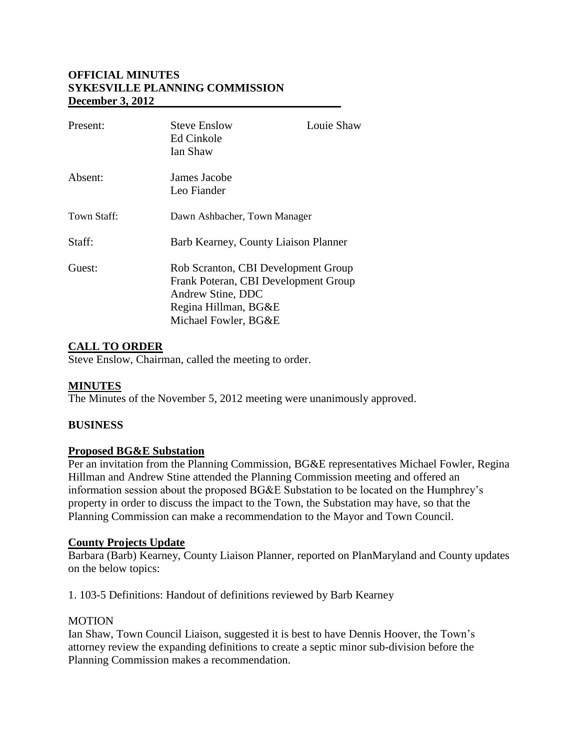# **OFFICIAL MINUTES SYKESVILLE PLANNING COMMISSION December 3, 2012**

| Present:    | <b>Steve Enslow</b><br>Ed Cinkole<br>Ian Shaw                                                                                                    | Louie Shaw |
|-------------|--------------------------------------------------------------------------------------------------------------------------------------------------|------------|
| Absent:     | James Jacobe<br>Leo Fiander                                                                                                                      |            |
| Town Staff: | Dawn Ashbacher, Town Manager                                                                                                                     |            |
| Staff:      | Barb Kearney, County Liaison Planner                                                                                                             |            |
| Guest:      | Rob Scranton, CBI Development Group<br>Frank Poteran, CBI Development Group<br>Andrew Stine, DDC<br>Regina Hillman, BG&E<br>Michael Fowler, BG&E |            |

# **CALL TO ORDER**

Steve Enslow, Chairman, called the meeting to order.

# **MINUTES**

The Minutes of the November 5, 2012 meeting were unanimously approved.

### **BUSINESS**

### **Proposed BG&E Substation**

Per an invitation from the Planning Commission, BG&E representatives Michael Fowler, Regina Hillman and Andrew Stine attended the Planning Commission meeting and offered an information session about the proposed BG&E Substation to be located on the Humphrey's property in order to discuss the impact to the Town, the Substation may have, so that the Planning Commission can make a recommendation to the Mayor and Town Council.

### **County Projects Update**

Barbara (Barb) Kearney, County Liaison Planner, reported on PlanMaryland and County updates on the below topics:

1. 103-5 Definitions: Handout of definitions reviewed by Barb Kearney

### **MOTION**

Ian Shaw, Town Council Liaison, suggested it is best to have Dennis Hoover, the Town's attorney review the expanding definitions to create a septic minor sub-division before the Planning Commission makes a recommendation.